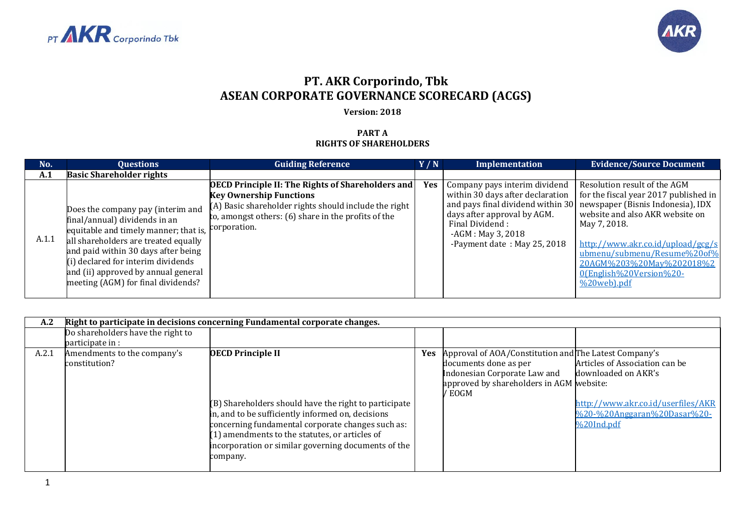



## **PT. AKR Corporindo, Tbk ASEAN CORPORATE GOVERNANCE SCORECARD (ACGS)**

## **Version: 2018**

## **PART A RIGHTS OF SHAREHOLDERS**

| No.   | <b>Questions</b>                                                                                                                                                                                                                                                                                                           | <b>Guiding Reference</b>                                                                                                                                                                                   | Y/N        | Implementation                                                                                                                                                             | <b>Evidence/Source Document</b>                                                                                                                                                                                                                                                                                                                       |
|-------|----------------------------------------------------------------------------------------------------------------------------------------------------------------------------------------------------------------------------------------------------------------------------------------------------------------------------|------------------------------------------------------------------------------------------------------------------------------------------------------------------------------------------------------------|------------|----------------------------------------------------------------------------------------------------------------------------------------------------------------------------|-------------------------------------------------------------------------------------------------------------------------------------------------------------------------------------------------------------------------------------------------------------------------------------------------------------------------------------------------------|
| A.1   | <b>Basic Shareholder rights</b>                                                                                                                                                                                                                                                                                            |                                                                                                                                                                                                            |            |                                                                                                                                                                            |                                                                                                                                                                                                                                                                                                                                                       |
| A.1.1 | Does the company pay (interim and<br>final/annual) dividends in an<br>equitable and timely manner; that is, corporation.<br>all shareholders are treated equally<br>and paid within 30 days after being<br>(i) declared for interim dividends<br>and (ii) approved by annual general<br>meeting (AGM) for final dividends? | <b>OECD Principle II: The Rights of Shareholders and</b><br><b>Key Ownership Functions</b><br>(A) Basic shareholder rights should include the right<br>to, amongst others: (6) share in the profits of the | <b>Yes</b> | Company pays interim dividend<br>within 30 days after declaration<br>days after approval by AGM.<br>Final Dividend:<br>$-AGM$ : May 3, 2018<br>-Payment date: May 25, 2018 | Resolution result of the AGM<br>for the fiscal year 2017 published in<br>and pays final dividend within 30 newspaper (Bisnis Indonesia), IDX<br>website and also AKR website on<br>May 7, 2018.<br>http://www.akr.co.id/upload/gcg/s<br>ubmenu/submenu/Resume%20of%<br>20AGM%203%20May%202018%2<br>0(English%20Version%20-<br>$\frac{9}{20}$ web).pdf |

| A.2   | Right to participate in decisions concerning Fundamental corporate changes. |                                                                                                                                                                                                                                                                                                                  |            |                                                                                                                                                                      |                                                                                                                                              |  |  |
|-------|-----------------------------------------------------------------------------|------------------------------------------------------------------------------------------------------------------------------------------------------------------------------------------------------------------------------------------------------------------------------------------------------------------|------------|----------------------------------------------------------------------------------------------------------------------------------------------------------------------|----------------------------------------------------------------------------------------------------------------------------------------------|--|--|
|       | Do shareholders have the right to<br>participate in :                       |                                                                                                                                                                                                                                                                                                                  |            |                                                                                                                                                                      |                                                                                                                                              |  |  |
| A.2.1 | Amendments to the company's<br>constitution?                                | <b>OECD Principle II</b><br>(B) Shareholders should have the right to participate<br>in, and to be sufficiently informed on, decisions<br>concerning fundamental corporate changes such as:<br>(1) amendments to the statutes, or articles of<br>incorporation or similar governing documents of the<br>company. | <b>Yes</b> | Approval of AOA/Constitution and The Latest Company's<br>documents done as per<br>Indonesian Corporate Law and<br>approved by shareholders in AGM website:<br>/ EOGM | Articles of Association can be<br>downloaded on AKR's<br>http://www.akr.co.id/userfiles/AKR<br>%20-%20Anggaran%20Dasar%20-<br>$\%$ 20Ind.pdf |  |  |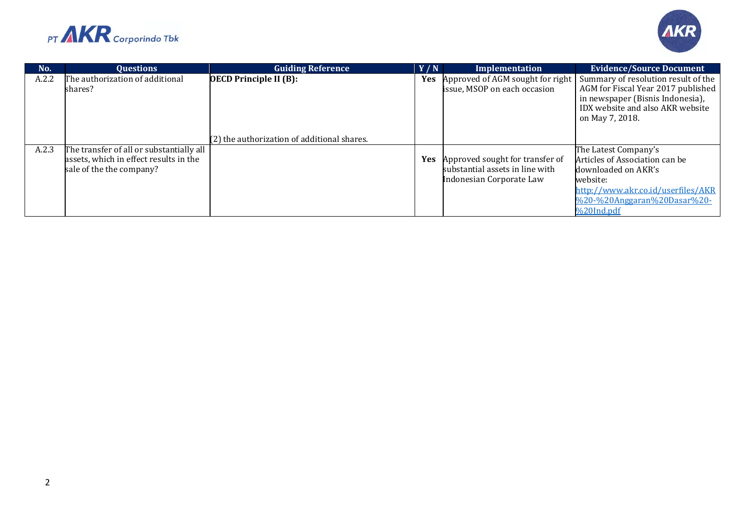



| No.   | <b>Ouestions</b>                                                                                               | <b>Guiding Reference</b>                    | Y/N | Implementation                                                                                            | <b>Evidence/Source Document</b>                                                                                                                                              |
|-------|----------------------------------------------------------------------------------------------------------------|---------------------------------------------|-----|-----------------------------------------------------------------------------------------------------------|------------------------------------------------------------------------------------------------------------------------------------------------------------------------------|
| A.2.2 | The authorization of additional<br>shares?                                                                     | <b>OECD Principle II (B):</b>               | Yes | Approved of AGM sought for right<br>issue, MSOP on each occasion                                          | Summary of resolution result of the<br>AGM for Fiscal Year 2017 published<br>in newspaper (Bisnis Indonesia),<br>IDX website and also AKR website<br>on May 7, 2018.         |
|       |                                                                                                                | (2) the authorization of additional shares. |     |                                                                                                           |                                                                                                                                                                              |
| A.2.3 | The transfer of all or substantially all<br>assets, which in effect results in the<br>sale of the the company? |                                             |     | <b>Yes</b> Approved sought for transfer of<br>substantial assets in line with<br>Indonesian Corporate Law | The Latest Company's<br>Articles of Association can be<br>downloaded on AKR's<br>website:<br>http://www.akr.co.id/userfiles/AKR<br>%20-%20Anggaran%20Dasar%20-<br>%20Ind.pdf |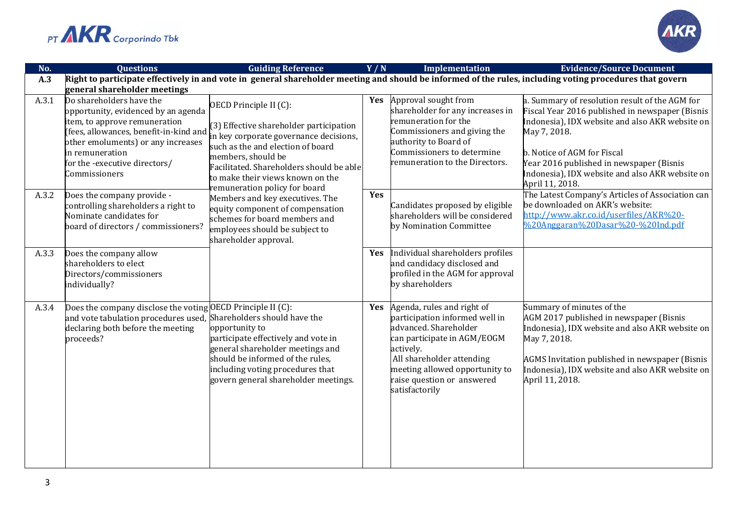



| No.   | <b>Questions</b>                                                                                                                                                                   | <b>Guiding Reference</b>                                                                                                                                                                                  | Y/N        | <b>Implementation</b>                                                                                                                                                                                                                            | <b>Evidence/Source Document</b>                                                                                                                                                                                                                                 |
|-------|------------------------------------------------------------------------------------------------------------------------------------------------------------------------------------|-----------------------------------------------------------------------------------------------------------------------------------------------------------------------------------------------------------|------------|--------------------------------------------------------------------------------------------------------------------------------------------------------------------------------------------------------------------------------------------------|-----------------------------------------------------------------------------------------------------------------------------------------------------------------------------------------------------------------------------------------------------------------|
| A.3   |                                                                                                                                                                                    |                                                                                                                                                                                                           |            |                                                                                                                                                                                                                                                  | Right to participate effectively in and vote in general shareholder meeting and should be informed of the rules, including voting procedures that govern                                                                                                        |
| A.3.1 | general shareholder meetings<br>Do shareholders have the                                                                                                                           |                                                                                                                                                                                                           | Yes        | Approval sought from                                                                                                                                                                                                                             | a. Summary of resolution result of the AGM for                                                                                                                                                                                                                  |
|       | opportunity, evidenced by an agenda<br>item, to approve remuneration                                                                                                               | OECD Principle II (C):                                                                                                                                                                                    |            | shareholder for any increases in<br>remuneration for the                                                                                                                                                                                         | Fiscal Year 2016 published in newspaper (Bisnis<br>Indonesia), IDX website and also AKR website on                                                                                                                                                              |
|       | other emoluments) or any increases                                                                                                                                                 | (3) Effective shareholder participation<br>(fees, allowances, benefit-in-kind and $\lim_{n \to \infty}$ means are governance decisions,                                                                   |            | Commissioners and giving the<br>authority to Board of                                                                                                                                                                                            | May 7, 2018.                                                                                                                                                                                                                                                    |
|       | in remuneration                                                                                                                                                                    | such as the and election of board<br>members, should be                                                                                                                                                   |            | Commissioners to determine                                                                                                                                                                                                                       | b. Notice of AGM for Fiscal                                                                                                                                                                                                                                     |
|       | for the -executive directors/<br>Commissioners                                                                                                                                     | Facilitated. Shareholders should be able<br>to make their views known on the<br>remuneration policy for board                                                                                             |            | remuneration to the Directors.                                                                                                                                                                                                                   | Year 2016 published in newspaper (Bisnis<br>Indonesia), IDX website and also AKR website on<br>April 11, 2018.                                                                                                                                                  |
| A.3.2 | Does the company provide -<br>controlling shareholders a right to<br>Nominate candidates for<br>board of directors / commissioners?                                                | Members and key executives. The<br>equity component of compensation<br>schemes for board members and<br>employees should be subject to<br>shareholder approval.                                           | Yes        | Candidates proposed by eligible<br>shareholders will be considered<br>by Nomination Committee                                                                                                                                                    | The Latest Company's Articles of Association can<br>be downloaded on AKR's website:<br>http://www.akr.co.id/userfiles/AKR%20-<br>%20Anggaran%20Dasar%20-%20Ind.pdf                                                                                              |
| A.3.3 | Does the company allow<br>shareholders to elect<br>Directors/commissioners<br>individually?                                                                                        |                                                                                                                                                                                                           | Yes        | Individual shareholders profiles<br>and candidacy disclosed and<br>profiled in the AGM for approval<br>by shareholders                                                                                                                           |                                                                                                                                                                                                                                                                 |
| A.3.4 | Does the company disclose the voting OECD Principle II (C):<br>and vote tabulation procedures used, Shareholders should have the<br>declaring both before the meeting<br>proceeds? | opportunity to<br>participate effectively and vote in<br>general shareholder meetings and<br>should be informed of the rules,<br>including voting procedures that<br>govern general shareholder meetings. | <b>Yes</b> | Agenda, rules and right of<br>participation informed well in<br>advanced. Shareholder<br>can participate in AGM/EOGM<br>actively.<br>All shareholder attending<br>meeting allowed opportunity to<br>raise question or answered<br>satisfactorily | Summary of minutes of the<br>AGM 2017 published in newspaper (Bisnis<br>Indonesia), IDX website and also AKR website on<br>May 7, 2018.<br>AGMS Invitation published in newspaper (Bisnis<br>Indonesia), IDX website and also AKR website on<br>April 11, 2018. |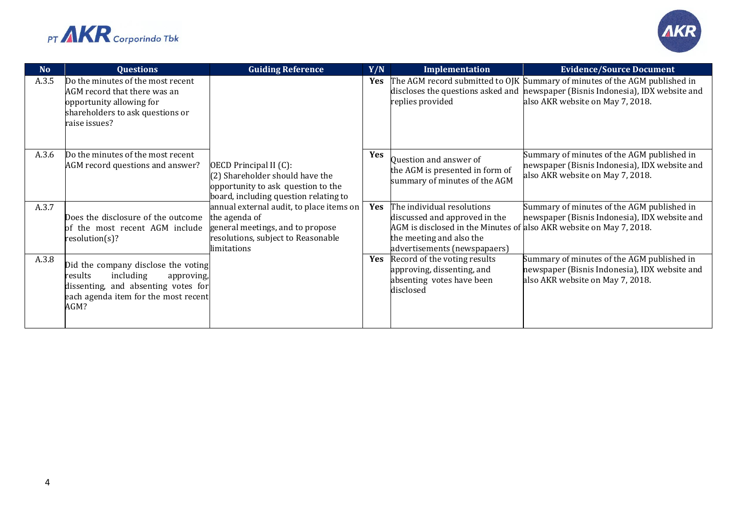



| No    | <b>Questions</b>                                                                                                                                                 | <b>Guiding Reference</b>                                                                                                                           | Y/N        | Implementation                                                                                                                                                                                 | <b>Evidence/Source Document</b>                                                                                                                                                                   |
|-------|------------------------------------------------------------------------------------------------------------------------------------------------------------------|----------------------------------------------------------------------------------------------------------------------------------------------------|------------|------------------------------------------------------------------------------------------------------------------------------------------------------------------------------------------------|---------------------------------------------------------------------------------------------------------------------------------------------------------------------------------------------------|
| A.3.5 | Do the minutes of the most recent<br>AGM record that there was an<br>opportunity allowing for<br>shareholders to ask questions or<br>raise issues?               |                                                                                                                                                    | <b>Yes</b> | replies provided                                                                                                                                                                               | The AGM record submitted to OJK Summary of minutes of the AGM published in<br>discloses the questions asked and newspaper (Bisnis Indonesia), IDX website and<br>also AKR website on May 7, 2018. |
| A.3.6 | Do the minutes of the most recent<br>AGM record questions and answer?                                                                                            | OECD Principal II (C):<br>(2) Shareholder should have the<br>opportunity to ask question to the<br>board, including question relating to           | Yes        | Question and answer of<br>the AGM is presented in form of<br>summary of minutes of the AGM                                                                                                     | Summary of minutes of the AGM published in<br>newspaper (Bisnis Indonesia), IDX website and<br>also AKR website on May 7, 2018.                                                                   |
| A.3.7 | Does the disclosure of the outcome<br>of the most recent AGM include<br>resolution(s)?                                                                           | annual external audit, to place items on<br>the agenda of<br>general meetings, and to propose<br>resolutions, subject to Reasonable<br>limitations | Yes        | The individual resolutions<br>discussed and approved in the<br>AGM is disclosed in the Minutes of also AKR website on May 7, 2018.<br>the meeting and also the<br>advertisements (newspapaers) | Summary of minutes of the AGM published in<br>newspaper (Bisnis Indonesia), IDX website and                                                                                                       |
| A.3.8 | Did the company disclose the voting<br>including<br>results<br>approving,<br>dissenting, and absenting votes for<br>each agenda item for the most recent<br>AGM? |                                                                                                                                                    | <b>Yes</b> | Record of the voting results<br>approving, dissenting, and<br>absenting votes have been<br>disclosed                                                                                           | Summary of minutes of the AGM published in<br>newspaper (Bisnis Indonesia), IDX website and<br>also AKR website on May 7, 2018.                                                                   |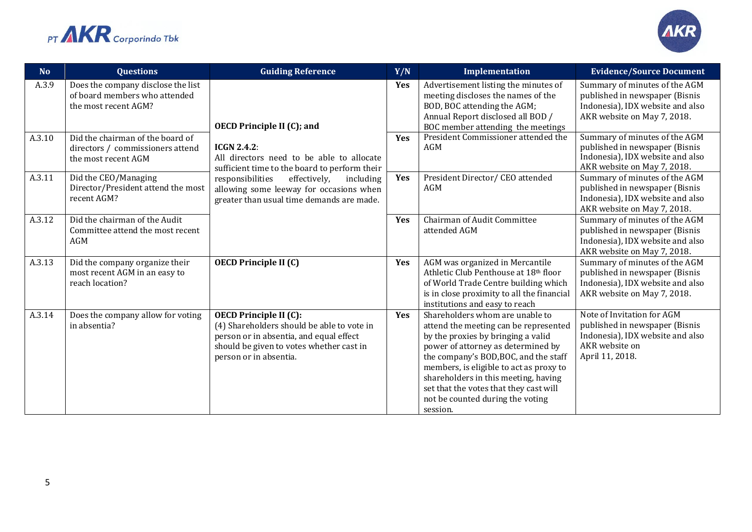



| N <sub>o</sub> | <b>Questions</b>                                                                            | <b>Guiding Reference</b>                                                                                                                                                                     | Y/N        | Implementation                                                                                                                                                                                                                                                                                                                                                             | <b>Evidence/Source Document</b>                                                                                                       |
|----------------|---------------------------------------------------------------------------------------------|----------------------------------------------------------------------------------------------------------------------------------------------------------------------------------------------|------------|----------------------------------------------------------------------------------------------------------------------------------------------------------------------------------------------------------------------------------------------------------------------------------------------------------------------------------------------------------------------------|---------------------------------------------------------------------------------------------------------------------------------------|
| A.3.9          | Does the company disclose the list<br>of board members who attended<br>the most recent AGM? | <b>OECD Principle II (C); and</b>                                                                                                                                                            | Yes        | Advertisement listing the minutes of<br>meeting discloses the names of the<br>BOD, BOC attending the AGM;<br>Annual Report disclosed all BOD /<br>BOC member attending the meetings                                                                                                                                                                                        | Summary of minutes of the AGM<br>published in newspaper (Bisnis<br>Indonesia), IDX website and also<br>AKR website on May 7, 2018.    |
| A.3.10         | Did the chairman of the board of<br>directors / commissioners attend<br>the most recent AGM | <b>ICGN 2.4.2:</b><br>All directors need to be able to allocate<br>sufficient time to the board to perform their                                                                             | <b>Yes</b> | President Commissioner attended the<br>AGM                                                                                                                                                                                                                                                                                                                                 | Summary of minutes of the AGM<br>published in newspaper (Bisnis<br>Indonesia), IDX website and also<br>AKR website on May 7, 2018.    |
| A.3.11         | Did the CEO/Managing<br>Director/President attend the most<br>recent AGM?                   | responsibilities<br>including<br>effectively,<br>allowing some leeway for occasions when<br>greater than usual time demands are made.                                                        | Yes        | President Director/ CEO attended<br>AGM                                                                                                                                                                                                                                                                                                                                    | Summary of minutes of the AGM<br>published in newspaper (Bisnis<br>Indonesia), IDX website and also<br>AKR website on May 7, 2018.    |
| A.3.12         | Did the chairman of the Audit<br>Committee attend the most recent<br>AGM                    |                                                                                                                                                                                              | Yes        | Chairman of Audit Committee<br>attended AGM                                                                                                                                                                                                                                                                                                                                | Summary of minutes of the AGM<br>published in newspaper (Bisnis<br>Indonesia), IDX website and also<br>AKR website on May 7, 2018.    |
| A.3.13         | Did the company organize their<br>most recent AGM in an easy to<br>reach location?          | <b>OECD Principle II (C)</b>                                                                                                                                                                 | Yes        | AGM was organized in Mercantile<br>Athletic Club Penthouse at 18th floor<br>of World Trade Centre building which<br>is in close proximity to all the financial<br>institutions and easy to reach                                                                                                                                                                           | Summary of minutes of the AGM<br>published in newspaper (Bisnis<br>Indonesia), IDX website and also<br>AKR website on May 7, 2018.    |
| A.3.14         | Does the company allow for voting<br>in absentia?                                           | <b>OECD Principle II (C):</b><br>(4) Shareholders should be able to vote in<br>person or in absentia, and equal effect<br>should be given to votes whether cast in<br>person or in absentia. | Yes        | Shareholders whom are unable to<br>attend the meeting can be represented<br>by the proxies by bringing a valid<br>power of attorney as determined by<br>the company's BOD, BOC, and the staff<br>members, is eligible to act as proxy to<br>shareholders in this meeting, having<br>set that the votes that they cast will<br>not be counted during the voting<br>session. | Note of Invitation for AGM<br>published in newspaper (Bisnis<br>Indonesia), IDX website and also<br>AKR website on<br>April 11, 2018. |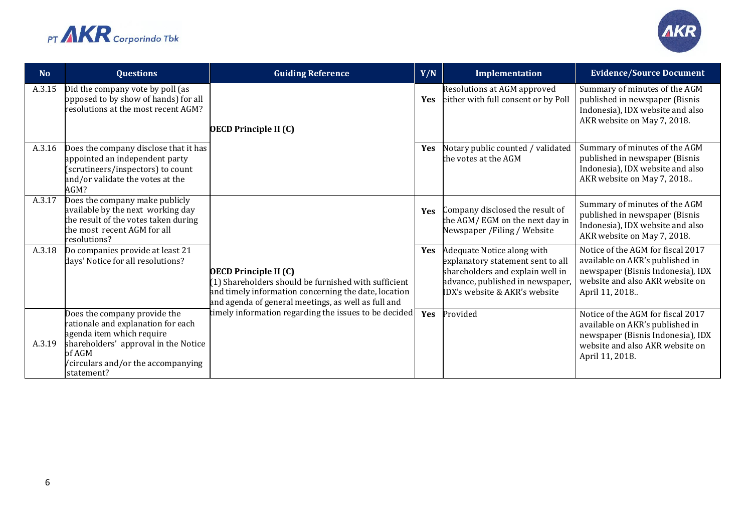



| <b>No</b> | <b>Questions</b>                                                                                                                                                                                     | <b>Guiding Reference</b>                                                                                                                                                                            | Y/N        | Implementation                                                                                                                                                           | <b>Evidence/Source Document</b>                                                                                                                                 |
|-----------|------------------------------------------------------------------------------------------------------------------------------------------------------------------------------------------------------|-----------------------------------------------------------------------------------------------------------------------------------------------------------------------------------------------------|------------|--------------------------------------------------------------------------------------------------------------------------------------------------------------------------|-----------------------------------------------------------------------------------------------------------------------------------------------------------------|
| A.3.15    | Did the company vote by poll (as<br>opposed to by show of hands) for all<br>resolutions at the most recent AGM?                                                                                      | <b>OECD Principle II (C)</b>                                                                                                                                                                        | Yes        | Resolutions at AGM approved<br>either with full consent or by Poll                                                                                                       | Summary of minutes of the AGM<br>published in newspaper (Bisnis<br>Indonesia), IDX website and also<br>AKR website on May 7, 2018.                              |
| A.3.16    | Does the company disclose that it has<br>appointed an independent party<br>scrutineers/inspectors) to count<br>and/or validate the votes at the<br>AGM?                                              |                                                                                                                                                                                                     | Yes        | Notary public counted / validated<br>the votes at the AGM                                                                                                                | Summary of minutes of the AGM<br>published in newspaper (Bisnis<br>Indonesia), IDX website and also<br>AKR website on May 7, 2018                               |
| A.3.17    | Does the company make publicly<br>available by the next working day<br>the result of the votes taken during<br>the most recent AGM for all<br>resolutions?                                           |                                                                                                                                                                                                     | <b>Yes</b> | Company disclosed the result of<br>the AGM/EGM on the next day in<br>Newspaper / Filing / Website                                                                        | Summary of minutes of the AGM<br>published in newspaper (Bisnis<br>Indonesia), IDX website and also<br>AKR website on May 7, 2018.                              |
| A.3.18    | Do companies provide at least 21<br>days' Notice for all resolutions?                                                                                                                                | <b>OECD Principle II (C)</b><br>(1) Shareholders should be furnished with sufficient<br>and timely information concerning the date, location<br>and agenda of general meetings, as well as full and | <b>Yes</b> | Adequate Notice along with<br>explanatory statement sent to all<br>shareholders and explain well in<br>advance, published in newspaper,<br>IDX's website & AKR's website | Notice of the AGM for fiscal 2017<br>available on AKR's published in<br>newspaper (Bisnis Indonesia), IDX<br>website and also AKR website on<br>April 11, 2018  |
| A.3.19    | Does the company provide the<br>ationale and explanation for each<br>agenda item which require<br>shareholders' approval in the Notice<br>of AGM<br>/circulars and/or the accompanying<br>statement? | timely information regarding the issues to be decided                                                                                                                                               | Yes        | Provided                                                                                                                                                                 | Notice of the AGM for fiscal 2017<br>available on AKR's published in<br>newspaper (Bisnis Indonesia), IDX<br>website and also AKR website on<br>April 11, 2018. |